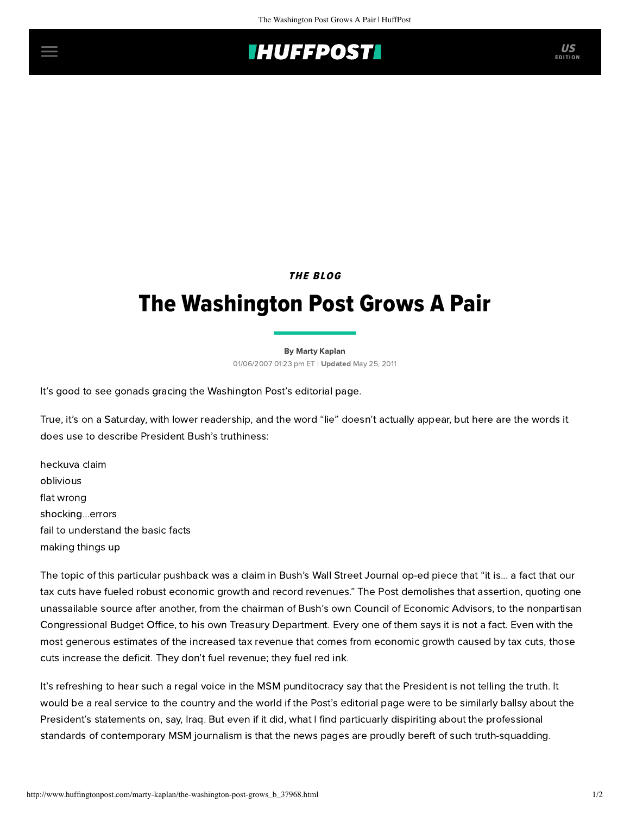

THE BLOG

## The Washington Post Grows A Pair

[By Marty Kaplan](http://www.huffingtonpost.com/author/marty-kaplan) 01/06/2007 01:23 pm ET | Updated May 25, 2011

It's good to see gonads gracing the Washington Post's editorial page.

True, it's on a Saturday, with lower readership, and the word "lie" doesn't actually appear, but [here](http://www.washingtonpost.com/wp-dyn/content/article/2007/01/05/AR2007010501801.html?referrer=email) are the words it does use to describe President Bush's truthiness:

heckuva claim oblivious flat wrong shocking...errors fail to understand the basic facts making things up

The topic of this particular pushback was a claim in Bush's Wall Street Journal [op-ed piece](http://opinionjournal.com/editorial/?id=110009473) that "it is... a fact that our tax cuts have fueled robust economic growth and record revenues." The Post demolishes that assertion, quoting one unassailable source after another, from the chairman of Bush's own Council of Economic Advisors, to the nonpartisan Congressional Budget Office, to his own Treasury Department. Every one of them says it is not a fact. Even with the most generous estimates of the increased tax revenue that comes from economic growth caused by tax cuts, those cuts increase the deficit. They don't fuel revenue; they fuel red ink.

It's refreshing to hear such a regal voice in the MSM punditocracy say that the President is not telling the truth. It would be a real service to the country and the world if the Post's editorial page were to be similarly ballsy about the President's statements on, say, Iraq. But even if it did, what I find particuarly dispiriting about the professional standards of contemporary MSM journalism is that the news pages are proudly bereft of such truth-squadding.